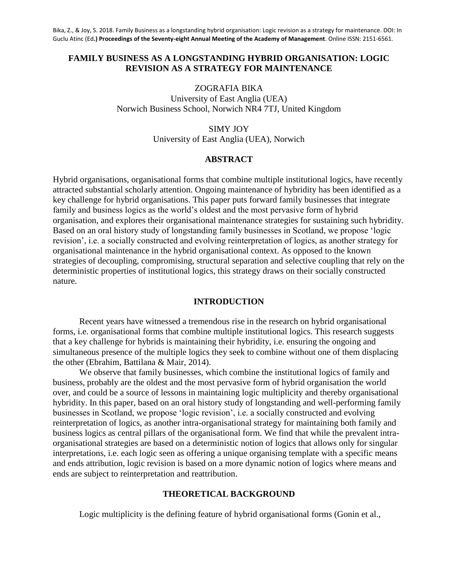# **FAMILY BUSINESS AS A LONGSTANDING HYBRID ORGANISATION: LOGIC REVISION AS A STRATEGY FOR MAINTENANCE**

ZOGRAFIA BIKA University of East Anglia (UEA) Norwich Business School, Norwich NR4 7TJ, United Kingdom

> SIMY JOY University of East Anglia (UEA), Norwich

## **ABSTRACT**

Hybrid organisations, organisational forms that combine multiple institutional logics, have recently attracted substantial scholarly attention. Ongoing maintenance of hybridity has been identified as a key challenge for hybrid organisations. This paper puts forward family businesses that integrate family and business logics as the world's oldest and the most pervasive form of hybrid organisation, and explores their organisational maintenance strategies for sustaining such hybridity. Based on an oral history study of longstanding family businesses in Scotland, we propose 'logic revision', i.e. a socially constructed and evolving reinterpretation of logics, as another strategy for organisational maintenance in the hybrid organisational context. As opposed to the known strategies of decoupling, compromising, structural separation and selective coupling that rely on the deterministic properties of institutional logics, this strategy draws on their socially constructed nature.

#### **INTRODUCTION**

Recent years have witnessed a tremendous rise in the research on hybrid organisational forms, i.e. organisational forms that combine multiple institutional logics. This research suggests that a key challenge for hybrids is maintaining their hybridity, i.e. ensuring the ongoing and simultaneous presence of the multiple logics they seek to combine without one of them displacing the other (Ebrahim, Battilana & Mair, 2014).

We observe that family businesses, which combine the institutional logics of family and business, probably are the oldest and the most pervasive form of hybrid organisation the world over, and could be a source of lessons in maintaining logic multiplicity and thereby organisational hybridity. In this paper, based on an oral history study of longstanding and well-performing family businesses in Scotland, we propose 'logic revision', i.e. a socially constructed and evolving reinterpretation of logics, as another intra-organisational strategy for maintaining both family and business logics as central pillars of the organisational form. We find that while the prevalent intraorganisational strategies are based on a deterministic notion of logics that allows only for singular interpretations, i.e. each logic seen as offering a unique organising template with a specific means and ends attribution, logic revision is based on a more dynamic notion of logics where means and ends are subject to reinterpretation and reattribution.

### **THEORETICAL BACKGROUND**

Logic multiplicity is the defining feature of hybrid organisational forms (Gonin et al.,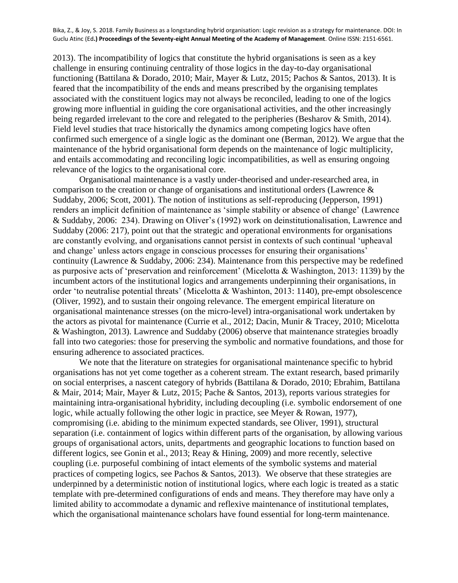2013). The incompatibility of logics that constitute the hybrid organisations is seen as a key challenge in ensuring continuing centrality of those logics in the day-to-day organisational functioning (Battilana & Dorado, 2010; Mair, Mayer & Lutz, 2015; Pachos & Santos, 2013). It is feared that the incompatibility of the ends and means prescribed by the organising templates associated with the constituent logics may not always be reconciled, leading to one of the logics growing more influential in guiding the core organisational activities, and the other increasingly being regarded irrelevant to the core and relegated to the peripheries (Besharov & Smith, 2014). Field level studies that trace historically the dynamics among competing logics have often confirmed such emergence of a single logic as the dominant one (Berman, 2012). We argue that the maintenance of the hybrid organisational form depends on the maintenance of logic multiplicity, and entails accommodating and reconciling logic incompatibilities, as well as ensuring ongoing relevance of the logics to the organisational core.

Organisational maintenance is a vastly under-theorised and under-researched area, in comparison to the creation or change of organisations and institutional orders (Lawrence & Suddaby, 2006; Scott, 2001). The notion of institutions as self-reproducing (Jepperson, 1991) renders an implicit definition of maintenance as 'simple stability or absence of change' (Lawrence & Suddaby, 2006: 234). Drawing on Oliver's (1992) work on deinstitutionalisation, Lawrence and Suddaby (2006: 217), point out that the strategic and operational environments for organisations are constantly evolving, and organisations cannot persist in contexts of such continual 'upheaval and change' unless actors engage in conscious processes for ensuring their organisations' continuity (Lawrence & Suddaby, 2006: 234). Maintenance from this perspective may be redefined as purposive acts of 'preservation and reinforcement' (Micelotta & Washington, 2013: 1139) by the incumbent actors of the institutional logics and arrangements underpinning their organisations, in order 'to neutralise potential threats' (Micelotta & Washinton, 2013: 1140), pre-empt obsolescence (Oliver, 1992), and to sustain their ongoing relevance. The emergent empirical literature on organisational maintenance stresses (on the micro-level) intra-organisational work undertaken by the actors as pivotal for maintenance (Currie et al., 2012; Dacin, Munir & Tracey, 2010; Micelotta & Washington, 2013). Lawrence and Suddaby (2006) observe that maintenance strategies broadly fall into two categories: those for preserving the symbolic and normative foundations, and those for ensuring adherence to associated practices.

We note that the literature on strategies for organisational maintenance specific to hybrid organisations has not yet come together as a coherent stream. The extant research, based primarily on social enterprises, a nascent category of hybrids (Battilana & Dorado, 2010; Ebrahim, Battilana & Mair, 2014; Mair, Mayer & Lutz, 2015; Pache & Santos, 2013), reports various strategies for maintaining intra-organisational hybridity, including decoupling (i.e. symbolic endorsement of one logic, while actually following the other logic in practice, see Meyer & Rowan, 1977), compromising (i.e. abiding to the minimum expected standards, see Oliver, 1991), structural separation (i.e. containment of logics within different parts of the organisation, by allowing various groups of organisational actors, units, departments and geographic locations to function based on different logics, see Gonin et al., 2013; Reay & Hining, 2009) and more recently, selective coupling (i.e. purposeful combining of intact elements of the symbolic systems and material practices of competing logics, see Pachos & Santos, 2013). We observe that these strategies are underpinned by a deterministic notion of institutional logics, where each logic is treated as a static template with pre-determined configurations of ends and means. They therefore may have only a limited ability to accommodate a dynamic and reflexive maintenance of institutional templates, which the organisational maintenance scholars have found essential for long-term maintenance.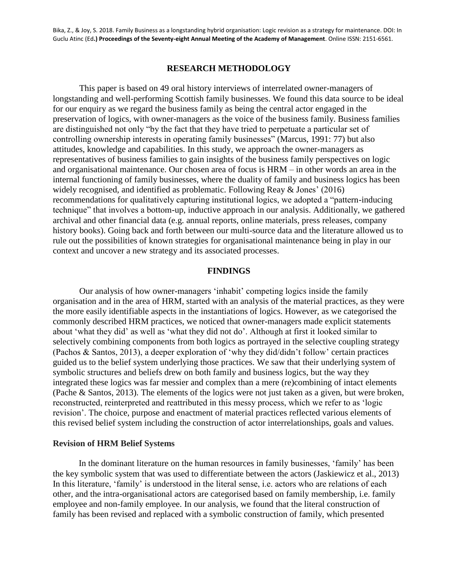### **RESEARCH METHODOLOGY**

This paper is based on 49 oral history interviews of interrelated owner-managers of longstanding and well-performing Scottish family businesses. We found this data source to be ideal for our enquiry as we regard the business family as being the central actor engaged in the preservation of logics, with owner-managers as the voice of the business family. Business families are distinguished not only "by the fact that they have tried to perpetuate a particular set of controlling ownership interests in operating family businesses" (Marcus, 1991: 77) but also attitudes, knowledge and capabilities. In this study, we approach the owner-managers as representatives of business families to gain insights of the business family perspectives on logic and organisational maintenance. Our chosen area of focus is HRM – in other words an area in the internal functioning of family businesses, where the duality of family and business logics has been widely recognised, and identified as problematic. Following Reay & Jones' (2016) recommendations for qualitatively capturing institutional logics, we adopted a "pattern-inducing technique" that involves a bottom-up, inductive approach in our analysis. Additionally, we gathered archival and other financial data (e.g. annual reports, online materials, press releases, company history books). Going back and forth between our multi-source data and the literature allowed us to rule out the possibilities of known strategies for organisational maintenance being in play in our context and uncover a new strategy and its associated processes.

### **FINDINGS**

Our analysis of how owner-managers 'inhabit' competing logics inside the family organisation and in the area of HRM, started with an analysis of the material practices, as they were the more easily identifiable aspects in the instantiations of logics. However, as we categorised the commonly described HRM practices, we noticed that owner-managers made explicit statements about 'what they did' as well as 'what they did not do'. Although at first it looked similar to selectively combining components from both logics as portrayed in the selective coupling strategy (Pachos & Santos, 2013), a deeper exploration of 'why they did/didn't follow' certain practices guided us to the belief system underlying those practices. We saw that their underlying system of symbolic structures and beliefs drew on both family and business logics, but the way they integrated these logics was far messier and complex than a mere (re)combining of intact elements (Pache & Santos, 2013). The elements of the logics were not just taken as a given, but were broken, reconstructed, reinterpreted and reattributed in this messy process, which we refer to as 'logic revision'. The choice, purpose and enactment of material practices reflected various elements of this revised belief system including the construction of actor interrelationships, goals and values.

#### **Revision of HRM Belief Systems**

In the dominant literature on the human resources in family businesses, 'family' has been the key symbolic system that was used to differentiate between the actors (Jaskiewicz et al., 2013) In this literature, 'family' is understood in the literal sense, i.e. actors who are relations of each other, and the intra-organisational actors are categorised based on family membership, i.e. family employee and non-family employee. In our analysis, we found that the literal construction of family has been revised and replaced with a symbolic construction of family, which presented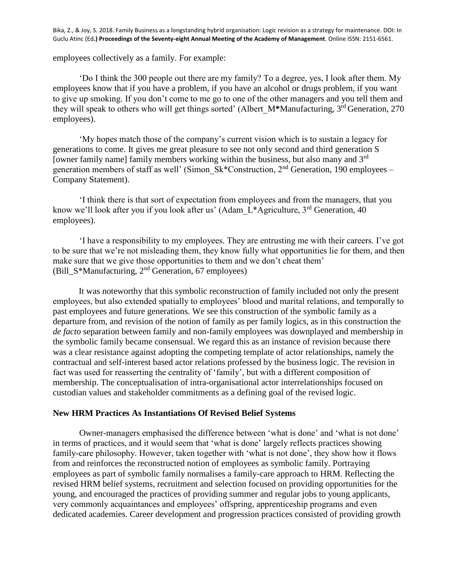employees collectively as a family. For example:

'Do I think the 300 people out there are my family? To a degree, yes, I look after them. My employees know that if you have a problem, if you have an alcohol or drugs problem, if you want to give up smoking. If you don't come to me go to one of the other managers and you tell them and they will speak to others who will get things sorted' (Albert\_M**\***Manufacturing, 3rd Generation, 270 employees).

'My hopes match those of the company's current vision which is to sustain a legacy for generations to come. It gives me great pleasure to see not only second and third generation S [owner family name] family members working within the business, but also many and 3<sup>rd</sup> generation members of staff as well' (Simon Sk\*Construction, 2<sup>nd</sup> Generation, 190 employees – Company Statement).

'I think there is that sort of expectation from employees and from the managers, that you know we'll look after you if you look after us' (Adam  $\mathcal{L}^*$ Agriculture, 3<sup>rd</sup> Generation, 40 employees).

'I have a responsibility to my employees. They are entrusting me with their careers. I've got to be sure that we're not misleading them, they know fully what opportunities lie for them, and then make sure that we give those opportunities to them and we don't cheat them' (Bill  $S^*$ Manufacturing, 2<sup>nd</sup> Generation, 67 employees)

It was noteworthy that this symbolic reconstruction of family included not only the present employees, but also extended spatially to employees' blood and marital relations, and temporally to past employees and future generations. We see this construction of the symbolic family as a departure from, and revision of the notion of family as per family logics, as in this construction the *de facto* separation between family and non-family employees was downplayed and membership in the symbolic family became consensual. We regard this as an instance of revision because there was a clear resistance against adopting the competing template of actor relationships, namely the contractual and self-interest based actor relations professed by the business logic. The revision in fact was used for reasserting the centrality of 'family', but with a different composition of membership. The conceptualisation of intra-organisational actor interrelationships focused on custodian values and stakeholder commitments as a defining goal of the revised logic.

## **New HRM Practices As Instantiations Of Revised Belief Systems**

Owner-managers emphasised the difference between 'what is done' and 'what is not done' in terms of practices, and it would seem that 'what is done' largely reflects practices showing family-care philosophy. However, taken together with 'what is not done', they show how it flows from and reinforces the reconstructed notion of employees as symbolic family. Portraying employees as part of symbolic family normalises a family-care approach to HRM. Reflecting the revised HRM belief systems, recruitment and selection focused on providing opportunities for the young, and encouraged the practices of providing summer and regular jobs to young applicants, very commonly acquaintances and employees' offspring, apprenticeship programs and even dedicated academies. Career development and progression practices consisted of providing growth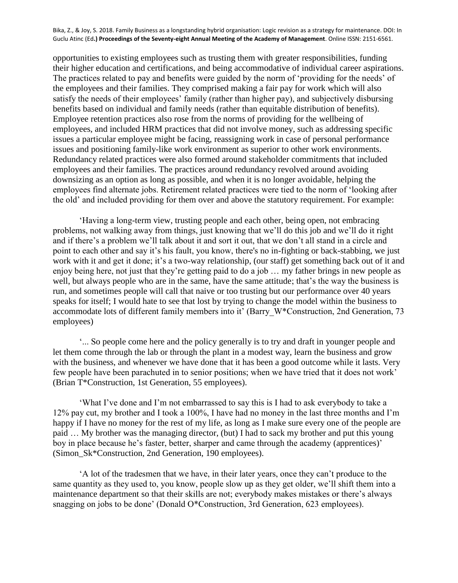opportunities to existing employees such as trusting them with greater responsibilities, funding their higher education and certifications, and being accommodative of individual career aspirations. The practices related to pay and benefits were guided by the norm of 'providing for the needs' of the employees and their families. They comprised making a fair pay for work which will also satisfy the needs of their employees' family (rather than higher pay), and subjectively disbursing benefits based on individual and family needs (rather than equitable distribution of benefits). Employee retention practices also rose from the norms of providing for the wellbeing of employees, and included HRM practices that did not involve money, such as addressing specific issues a particular employee might be facing, reassigning work in case of personal performance issues and positioning family-like work environment as superior to other work environments. Redundancy related practices were also formed around stakeholder commitments that included employees and their families. The practices around redundancy revolved around avoiding downsizing as an option as long as possible, and when it is no longer avoidable, helping the employees find alternate jobs. Retirement related practices were tied to the norm of 'looking after the old' and included providing for them over and above the statutory requirement. For example:

'Having a long-term view, trusting people and each other, being open, not embracing problems, not walking away from things, just knowing that we'll do this job and we'll do it right and if there's a problem we'll talk about it and sort it out, that we don't all stand in a circle and point to each other and say it's his fault, you know, there's no in-fighting or back-stabbing, we just work with it and get it done; it's a two-way relationship, (our staff) get something back out of it and enjoy being here, not just that they're getting paid to do a job … my father brings in new people as well, but always people who are in the same, have the same attitude; that's the way the business is run, and sometimes people will call that naive or too trusting but our performance over 40 years speaks for itself; I would hate to see that lost by trying to change the model within the business to accommodate lots of different family members into it' (Barry\_W\*Construction, 2nd Generation, 73 employees)

'... So people come here and the policy generally is to try and draft in younger people and let them come through the lab or through the plant in a modest way, learn the business and grow with the business, and whenever we have done that it has been a good outcome while it lasts. Very few people have been parachuted in to senior positions; when we have tried that it does not work' (Brian T\*Construction, 1st Generation, 55 employees).

'What I've done and I'm not embarrassed to say this is I had to ask everybody to take a 12% pay cut, my brother and I took a 100%, I have had no money in the last three months and I'm happy if I have no money for the rest of my life, as long as I make sure every one of the people are paid … My brother was the managing director, (but) I had to sack my brother and put this young boy in place because he's faster, better, sharper and came through the academy (apprentices)' (Simon\_Sk\*Construction, 2nd Generation, 190 employees).

'A lot of the tradesmen that we have, in their later years, once they can't produce to the same quantity as they used to, you know, people slow up as they get older, we'll shift them into a maintenance department so that their skills are not; everybody makes mistakes or there's always snagging on jobs to be done' (Donald O\*Construction, 3rd Generation, 623 employees).